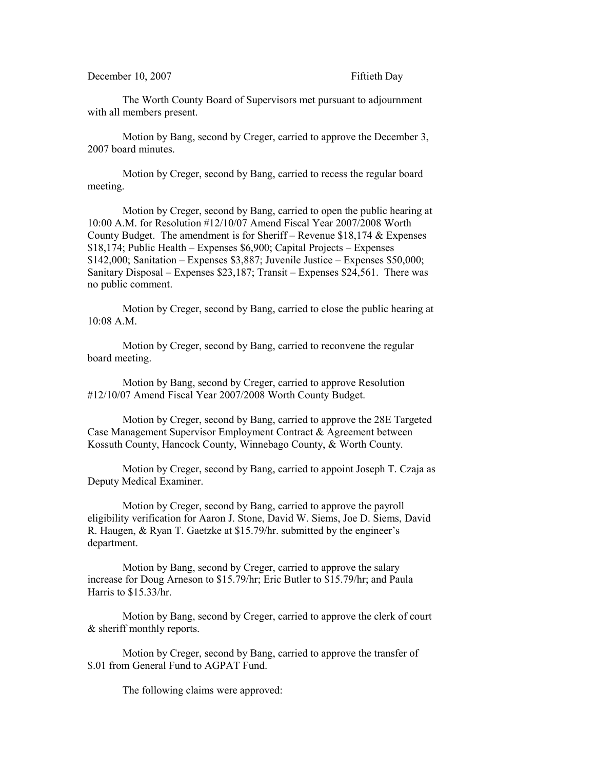December 10, 2007 Fiftieth Day

The Worth County Board of Supervisors met pursuant to adjournment with all members present.

Motion by Bang, second by Creger, carried to approve the December 3, 2007 board minutes.

Motion by Creger, second by Bang, carried to recess the regular board meeting.

Motion by Creger, second by Bang, carried to open the public hearing at 10:00 A.M. for Resolution #12/10/07 Amend Fiscal Year 2007/2008 Worth County Budget. The amendment is for Sheriff – Revenue \$18,174 & Expenses \$18,174; Public Health – Expenses \$6,900; Capital Projects – Expenses  $$142,000$ ; Sanitation – Expenses \$3,887; Juvenile Justice – Expenses \$50,000; Sanitary Disposal – Expenses \$23,187; Transit – Expenses \$24,561. There was no public comment.

Motion by Creger, second by Bang, carried to close the public hearing at 10:08 A.M.

Motion by Creger, second by Bang, carried to reconvene the regular board meeting.

Motion by Bang, second by Creger, carried to approve Resolution #12/10/07 Amend Fiscal Year 2007/2008 Worth County Budget.

Motion by Creger, second by Bang, carried to approve the 28E Targeted Case Management Supervisor Employment Contract & Agreement between Kossuth County, Hancock County, Winnebago County, & Worth County.

Motion by Creger, second by Bang, carried to appoint Joseph T. Czaja as Deputy Medical Examiner.

Motion by Creger, second by Bang, carried to approve the payroll eligibility verification for Aaron J. Stone, David W. Siems, Joe D. Siems, David R. Haugen, & Ryan T. Gaetzke at \$15.79/hr. submitted by the engineer's department.

Motion by Bang, second by Creger, carried to approve the salary increase for Doug Arneson to \$15.79/hr; Eric Butler to \$15.79/hr; and Paula Harris to \$15.33/hr.

Motion by Bang, second by Creger, carried to approve the clerk of court & sheriff monthly reports.

Motion by Creger, second by Bang, carried to approve the transfer of \$.01 from General Fund to AGPAT Fund.

The following claims were approved: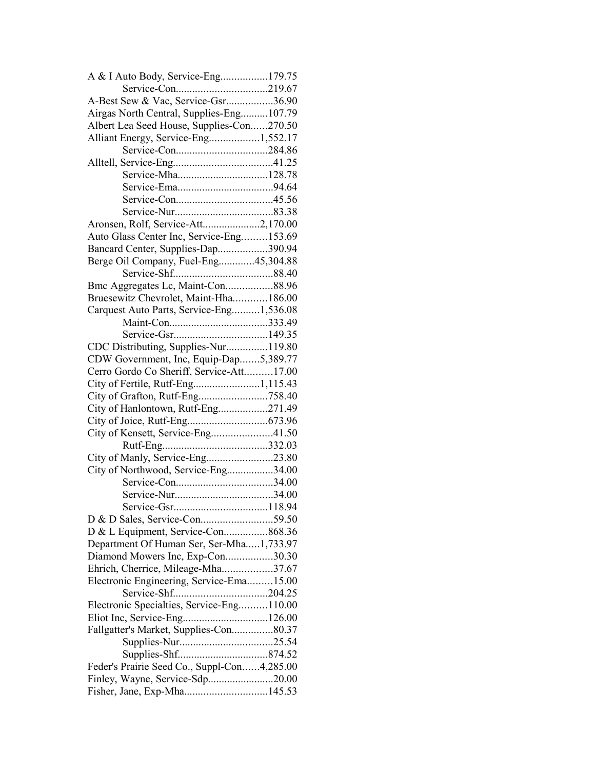| A & I Auto Body, Service-Eng179.75          |  |
|---------------------------------------------|--|
|                                             |  |
| A-Best Sew & Vac, Service-Gsr36.90          |  |
| Airgas North Central, Supplies-Eng107.79    |  |
| Albert Lea Seed House, Supplies-Con270.50   |  |
| Alliant Energy, Service-Eng1,552.17         |  |
|                                             |  |
|                                             |  |
| Service-Mha128.78                           |  |
|                                             |  |
|                                             |  |
|                                             |  |
| Aronsen, Rolf, Service-Att2,170.00          |  |
| Auto Glass Center Inc, Service-Eng153.69    |  |
| Bancard Center, Supplies-Dap390.94          |  |
| Berge Oil Company, Fuel-Eng45,304.88        |  |
|                                             |  |
| Bmc Aggregates Lc, Maint-Con88.96           |  |
| Bruesewitz Chevrolet, Maint-Hha186.00       |  |
|                                             |  |
| Carquest Auto Parts, Service-Eng1,536.08    |  |
|                                             |  |
|                                             |  |
| CDC Distributing, Supplies-Nur119.80        |  |
| CDW Government, Inc, Equip-Dap5,389.77      |  |
| Cerro Gordo Co Sheriff, Service-Att17.00    |  |
|                                             |  |
| City of Grafton, Rutf-Eng758.40             |  |
| City of Hanlontown, Rutf-Eng271.49          |  |
|                                             |  |
| City of Kensett, Service-Eng41.50           |  |
|                                             |  |
| City of Manly, Service-Eng23.80             |  |
| City of Northwood, Service-Eng34.00         |  |
|                                             |  |
|                                             |  |
|                                             |  |
|                                             |  |
| D & L Equipment, Service-Con868.36          |  |
| Department Of Human Ser, Ser-Mha1,733.97    |  |
| Diamond Mowers Inc, Exp-Con30.30            |  |
| Ehrich, Cherrice, Mileage-Mha37.67          |  |
| Electronic Engineering, Service-Ema15.00    |  |
|                                             |  |
| Electronic Specialties, Service-Eng110.00   |  |
| Eliot Inc, Service-Eng126.00                |  |
| Fallgatter's Market, Supplies-Con80.37      |  |
|                                             |  |
|                                             |  |
| Feder's Prairie Seed Co., Suppl-Con4,285.00 |  |
| Finley, Wayne, Service-Sdp20.00             |  |
| Fisher, Jane, Exp-Mha145.53                 |  |
|                                             |  |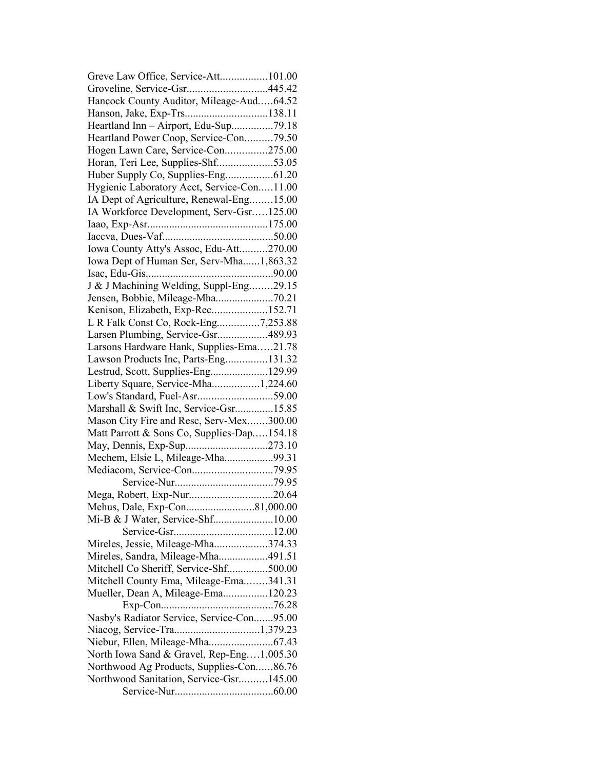| Greve Law Office, Service-Att101.00        |  |
|--------------------------------------------|--|
| Groveline, Service-Gsr445.42               |  |
| Hancock County Auditor, Mileage-Aud64.52   |  |
| Hanson, Jake, Exp-Trs138.11                |  |
| Heartland Inn - Airport, Edu-Sup79.18      |  |
| Heartland Power Coop, Service-Con79.50     |  |
| Hogen Lawn Care, Service-Con275.00         |  |
| Horan, Teri Lee, Supplies-Shf53.05         |  |
|                                            |  |
| Hygienic Laboratory Acct, Service-Con11.00 |  |
| IA Dept of Agriculture, Renewal-Eng15.00   |  |
| IA Workforce Development, Serv-Gsr125.00   |  |
|                                            |  |
|                                            |  |
| Iowa County Atty's Assoc, Edu-Att270.00    |  |
| Iowa Dept of Human Ser, Serv-Mha1,863.32   |  |
|                                            |  |
| J & J Machining Welding, Suppl-Eng29.15    |  |
|                                            |  |
| Jensen, Bobbie, Mileage-Mha70.21           |  |
| Kenison, Elizabeth, Exp-Rec152.71          |  |
| L R Falk Const Co, Rock-Eng7,253.88        |  |
| Larsen Plumbing, Service-Gsr489.93         |  |
| Larsons Hardware Hank, Supplies-Ema21.78   |  |
| Lawson Products Inc, Parts-Eng131.32       |  |
| Lestrud, Scott, Supplies-Eng129.99         |  |
| Liberty Square, Service-Mha1,224.60        |  |
| Low's Standard, Fuel-Asr59.00              |  |
| Marshall & Swift Inc, Service-Gsr15.85     |  |
| Mason City Fire and Resc, Serv-Mex300.00   |  |
| Matt Parrott & Sons Co, Supplies-Dap154.18 |  |
|                                            |  |
| Mechem, Elsie L, Mileage-Mha99.31          |  |
|                                            |  |
|                                            |  |
|                                            |  |
|                                            |  |
| Mi-B & J Water, Service-Shf10.00           |  |
|                                            |  |
| Mireles, Jessie, Mileage-Mha374.33         |  |
| Mireles, Sandra, Mileage-Mha491.51         |  |
| Mitchell Co Sheriff, Service-Shf500.00     |  |
| Mitchell County Ema, Mileage-Ema341.31     |  |
| Mueller, Dean A, Mileage-Ema120.23         |  |
|                                            |  |
| Nasby's Radiator Service, Service-Con95.00 |  |
|                                            |  |
| Niebur, Ellen, Mileage-Mha67.43            |  |
| North Iowa Sand & Gravel, Rep-Eng1,005.30  |  |
| Northwood Ag Products, Supplies-Con86.76   |  |
|                                            |  |
| Northwood Sanitation, Service-Gsr145.00    |  |